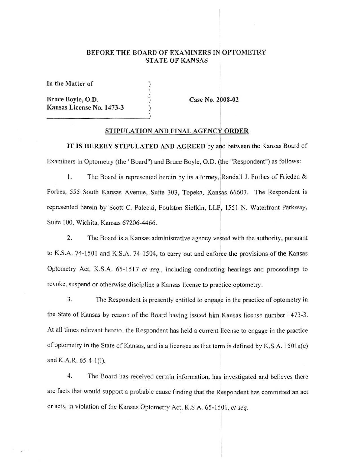#### BEFORE THE BOARD OF EXAMINERS IN OPTOMETRY STATE OF KANSAS

) ) ) )

In the **Matter of** 

**Bruce Boyle, O.D. Kansas License No. 1473-3** 

**Case No. 2008-02** 

I

!

'

#### **STIPULATION AND FINAL AGENCY ORDER**

**IT IS HEREBY STIPULATED AND AGREED** by and between the Kansas Board of Examiners in Optometry (the "Board") and Bruce Boyle, 0.0. (the "Respondent") as follows:

1. The Board is represented herein by its attorney, Randall J. Forbes of Frieden  $\&$ I Forbes, 555 South Kansas Avenue, Suite 303, Topeka, Kansas 66603. The Respondent is represented herein by Scott C. Palecki, Foulston Siefkin, LLP, 1551 N. Waterfront Parkway, Suite 100, Wichita, Kansas 67206-4466.

2. The Board is a Kansas administrative agency vested with the authority, pursuant to K.S.A. 74-1501 and K.S.A. 74-1504, to carry out and enforce the provisions of the Kansas I Optometry Act, K.S.A. 65-1517 *et seq.,* including conducting hearings and proceedings to revoke, suspend or otherwise discipline a Kansas license to practice optometry.

3. The Respondent is presently entitled to engage in the practice of optometry in the State of Kansas by reason of the Board having issued him Kansas license number 1473-3. At all times relevant hereto, the Respondent has held a current license to engage in the practice of optometry in the State of Kansas, and is a licensee as that term is defined by K.S.A. 1501a(c) and K.A.R.  $65-4-1(i)$ .

4. The Board has received certain information, has investigated and believes there are facts that would support a probable cause finding that the Respondent has committed an act or acts, in violation of the Kansas Optometry Act, K.S.A. 65-1501, et seq.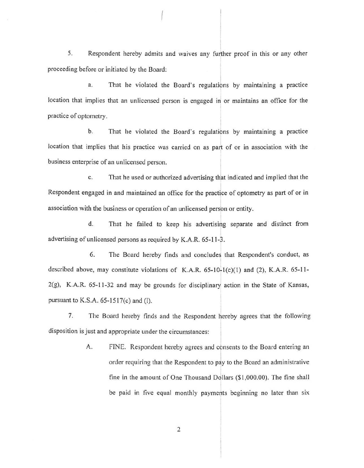5. Respondent hereby admits and waives any further proof in this or any other proceeding before or initiated by the Board:

a. That he violated the Board's regulations by maintaining a practice location that implies that an unlicensed person is engaged in or maintains an office for the practice of optometry.

b. That he violated the Board 's regulations by maintaining a practice location that implies that his practice was carried on as part of or in association with the business enterprise of an unlicensed person.

c. That he used or authorized advertising that indicated and implied that the Respondent engaged in and maintained an office for the practice of optometry as part of or in association with the business or operation of an unlicensed person or entity.

d. That he failed to keep his advertising separate and distinct from I advertising of unlicensed persons as required by K.A.R. 65-11-3.

6. The Board hereby finds and concludes that Respondent's conduct, as I described above, may constitute violations of K.A.R.  $65-10-1(c)(1)$  and (2), K.A.R.  $65-11-$ 2(g), K.A.R. 65-11-32 and may be grounds for disciplinary action in the State of Kansas, pursuant to K.S.A. 65-1517(c) and (I).

7. The Board hereby finds and the Respondent hereby agrees that the following I disposition is just and appropriate under the circumstances:

> A. FINE. Respondent hereby agrees and consents to the Board entering an order requiring that the Respondent to pay to the Board an administrative fine in the amount of One Thousand Dollars  $(\$1,000.00)$ . The fine shall be paid in five equal monthly payments beginning no later than six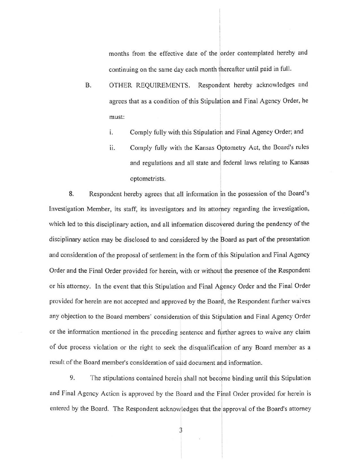months from the effective date of the order contemplated hereby and continuing on the same day each month ihereafter until paid in full. I

- B. OTHER REQUIREMENTS. Respondent hereby acknowledges and agrees that as a condition of this Stipulation and Final Agency Order, he must:
	- 1. Comply fully with this Stipulation and Final Agency Order; and
	- ii. Comply fully with the Kansas Optometry Act, the Board's rules and regulations and all state and federal laws relating to Kansas optometrists.

8. Respondent hereby agrees that all information in the possession of the Board's Investigation Member, its staff, its investigators and its attorney regarding the investigation, which led to this disciplinary action, and all information discovered during the pendency of the I disciplinary action may be disclosed to and considered by the Board as part of the presentation and consideration of the proposal of settlement in the form of this Stipulation and Final Agency Order and the Final Order provided for herein, with or withou the presence of the Respondent or his attorney. In the event that this Stipulation and Final Agency Order and the Final Order provided for herein are not accepted and approved by the Board, the Respondent further waives any objection to the Board members' consideration of this Stipulation and Final Agency Order I or the information mentioned in the preceding sentence and further agrees to waive any claim of due process violation or the right to seek the disqualification of any Board member as a result of the Board member's consideration of said document and information.

I The stipulations contained herein shall not become binding until this Stipulation 9. and Final Agency Action is approved by the Board and the Final Order provided for herein is entered by the Board. The Respondent acknowledges that the approval of the Board's attorney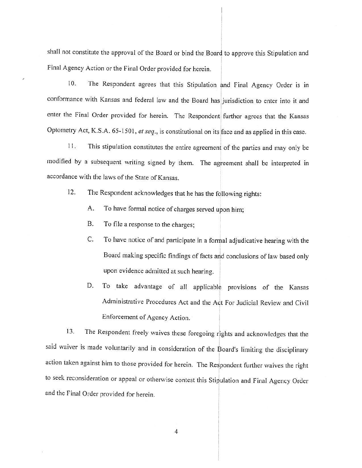shall not constitute the approval of the Board or bind the Board to approve this Stipulation and I Final Agency Action or the Final Order provided for herein.

10. The Respondent agrees that this Stipulation and Final Agency Order is in conformance with Kansas and federal law and the Board has jurisdiction to enter into it and enter the Final Order provided for herein. The Respondent further agrees that the Kansas Optometry Act, K.S.A. 65-1501, et seq., is constitutional on its face and as applied in this case.

11. This stipulation constitutes the entire agreement of the parties and may only be modified by a subsequent writing signed by them. The agreement shall be interpreted in I accordance with the laws of the State of Kansas.

12. The Respondent acknowledges that he has the following rights: ;

- A. To have formal notice of charges served *upon* him;
- B. To file a response to the charges;
- I C. To have notice of and participate in a formal adjudicative hearing with the I Board making specific findings of facts arid conclusions of law based only i upon evidence admitted at such hearing. !

 $\mathbf{1}$ 

I

D. To take advantage of all applicable provisions of the Kansas I Administrative Procedures Act and the Act For Judicial Review and Civil Enforcement of Agency Action.

13. The Respondent freely waives these foregoing rights and acknowledges that the said waiver is made voluntarily and in consideration of the Board's limiting the disciplinary I action taken against him to those provided for herein. The Respondent further waives the right to seek reconsideration or appeal or otherwise contest this Stipulation and Final Agency Order and the Final Order provided for herein.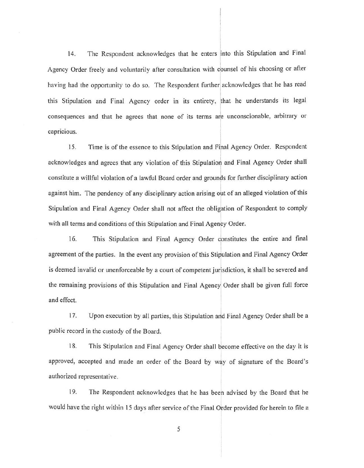L4. The Respondent acknowledges that he enters into this Stipulation and Final Agency Order freely and voluntarily after consultation with counsel of his choosing or after having had the opportunity to do so. The Respondent further acknowledges that he has read this Stipulation and Final Agency order in its entirety, that he understands its legal consequences and that he agrees that none of its terms are unconscionable, arbitrary or capricious.

15. Time is of the essence to this Stipulation and Final Agency Order. Respondent acknowledges and agrees that any violation of this Stipulation and Final Agency Order shall I constitute a willful violation of a lawful Board order and grounds for further disciplinary action against him. The pendency of any disciplinary action arising out of an alleged violation of this Stipulation and Final Agency Order shall not affect the obligation of Respondent to comply with all terms and conditions of this Stipulation and Final Agency Order. I

16. This Stipulation and Final Agency Order constitutes the entire and final agreement of the parties. In the event any provision of this Stipulation and Final Agency Order is deemed invalid or unenforceable by a court of competent jurisdiction, it shall be severed and the remaining provisions of this Stipulation and Final Agency! Order shall be given full force and effect.

17. Upon execution by all parties, this Stipulation and Final Agency Order shall be a public record in the custody of the Board.

18. This Stipulation and Final Agency Order shall become effective on the day it is I approved, accepted and made an order of the Board by way of signature of the Board's authorized representative.

19. The Respondent acknowledges that he has beeh advised by the Board that he would have the right within 15 days after service of the Final Order provided for herein to file a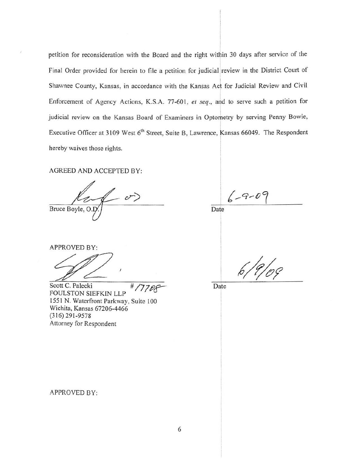petition for reconsideration with the Board and the right within 30 days after service of the Final Order provided for herein to file a petition for judicial review in the District Court of ' Shawnee County, Kansas, in accordance with the Kansas Act for Judicial Review and Civil Enforcement of Agency Actions, K.S.A. 77-60 l, *et seq.,* and to serve such a petition for judicial review on the Kansas Board of Examiners in Optometry by serving Penny Bowie, Executive Officer at 3109 West 6<sup>th</sup> Street, Suite B, Lawrence, Kansas 66049. The Respondent hereby waives those rights.

AGREED AND ACCEPTED BY:

v)

 $-9 - 09$ Date

APPROVED BY:

PPROVED BY:<br>
COLOGY:<br>
COLOGY C. Palecki<br>
COLLSTON SIFFKIN LLP

Scott C. Palecki # FOULSTON SIEFKIN LLP 1551 N. Waterfront Parkway, Suite 100 Wichita, Kansas 67206-4466 (316) 291-9578 Attorney for Respondent

Date

I I

APPROVED BY: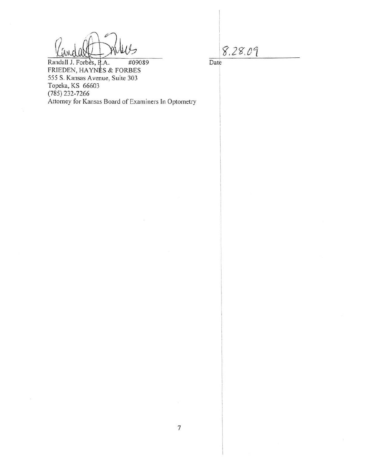$8.28.09$ 

Date

Randall J. Forbes, P.A. #09089 FRIEDEN, HAYNES & FORBES 555 S. Kansas Avenue, Suite 303 Topeka, KS 66603 (785) 232-7266 Attorney for Kansas Board of Examiners In Optometry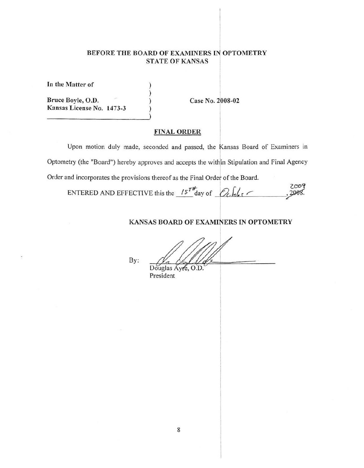# **BEFORE THE BOARD OF EXAMINERS** Ir **OPTOMETRY STATE OF KANSAS**

) ) ) )

**In the Matter of** 

**Bruce Boyle, 0 .D. Kansas License No. 1473-3**  **Case No. 2008-02** 

# **FINAL ORDER**

Upon motion duly made, seconded and passed, the Kansas Board of Examiners in I Optometry (the "Board") hereby approves and accepts the within Stipulation and Final Agency Order and incorporates the provisions thereof as the Final Order of the Board.

2009 ENTERED AND EFFECTIVE this the  $15^{r}$ <sup>t</sup>day of  $\mathcal{O}_c$   $\mathcal{L}_c$  r 2008.

### **KANSAS BOARD OF EXAMINERS IN OPTOMETRY**

By:  $\frac{1}{\frac{1}{\frac{1}{\frac{1}{\frac{1}{\sqrt{1}}}}\frac{1}{\sqrt{1+\frac{1}{\sqrt{1+\frac{1}{\sqrt{1+\frac{1}{\sqrt{1+\frac{1}{\sqrt{1+\frac{1}{\sqrt{1+\frac{1}{\sqrt{1+\frac{1}{\sqrt{1+\frac{1}{\sqrt{1+\frac{1}{\sqrt{1+\frac{1}{\sqrt{1+\frac{1}{\sqrt{1+\frac{1}{\sqrt{1+\frac{1}{\sqrt{1+\frac{1}{\sqrt{1+\frac{1}{\sqrt{1+\frac{1}{\sqrt{1+\frac{1}{\sqrt{1+\frac{1}{\sqrt{1+\frac{1}{\sqrt{1+\frac{1}{$ 

|           | Douglas Ayre, ( |
|-----------|-----------------|
| President |                 |